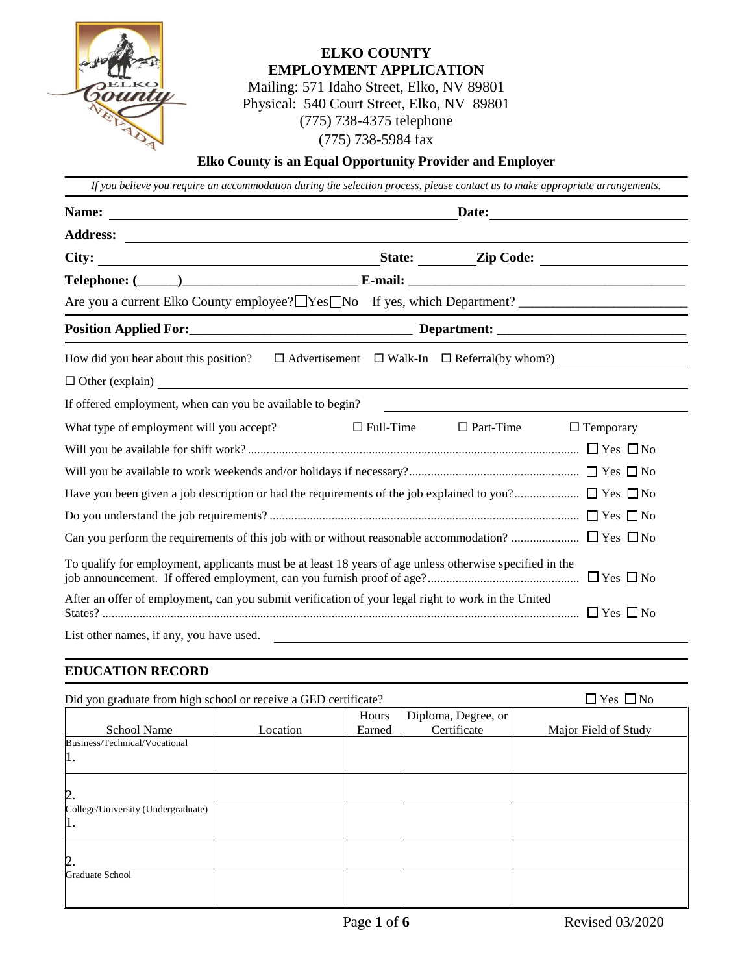

# **ELKO COUNTY EMPLOYMENT APPLICATION**

Mailing: 571 Idaho Street, Elko, NV 89801 Physical: 540 Court Street, Elko, NV 89801 (775) 738-4375 telephone (775) 738-5984 fax

### **Elko County is an Equal Opportunity Provider and Employer**

| If you believe you require an accommodation during the selection process, please contact us to make appropriate arrangements.                                                                                                              |                  |                  |                                                               |  |  |
|--------------------------------------------------------------------------------------------------------------------------------------------------------------------------------------------------------------------------------------------|------------------|------------------|---------------------------------------------------------------|--|--|
| Name:                                                                                                                                                                                                                                      | Date:            |                  |                                                               |  |  |
|                                                                                                                                                                                                                                            |                  |                  |                                                               |  |  |
| City:                                                                                                                                                                                                                                      |                  |                  |                                                               |  |  |
| Telephone: ( <u>Company Communication</u> E-mail: <u>Communication of the set of the set of the set of the set of the set of the set of the set of the set of the set of the set of the set of the set of the set of the set of the se</u> |                  |                  |                                                               |  |  |
|                                                                                                                                                                                                                                            |                  |                  |                                                               |  |  |
|                                                                                                                                                                                                                                            |                  |                  |                                                               |  |  |
| How did you hear about this position?                                                                                                                                                                                                      |                  |                  | $\Box$ Advertisement $\Box$ Walk-In $\Box$ Referral(by whom?) |  |  |
| $\Box$ Other (explain) $\Box$                                                                                                                                                                                                              |                  |                  |                                                               |  |  |
| If offered employment, when can you be available to begin?                                                                                                                                                                                 |                  |                  |                                                               |  |  |
| What type of employment will you accept?                                                                                                                                                                                                   | $\Box$ Full-Time | $\Box$ Part-Time | $\Box$ Temporary                                              |  |  |
|                                                                                                                                                                                                                                            |                  |                  |                                                               |  |  |
|                                                                                                                                                                                                                                            |                  |                  |                                                               |  |  |
|                                                                                                                                                                                                                                            |                  |                  |                                                               |  |  |
|                                                                                                                                                                                                                                            |                  |                  |                                                               |  |  |
|                                                                                                                                                                                                                                            |                  |                  |                                                               |  |  |
| To qualify for employment, applicants must be at least 18 years of age unless otherwise specified in the                                                                                                                                   |                  |                  |                                                               |  |  |
| After an offer of employment, can you submit verification of your legal right to work in the United                                                                                                                                        |                  |                  |                                                               |  |  |
| List other names, if any, you have used.                                                                                                                                                                                                   |                  |                  |                                                               |  |  |

### **EDUCATION RECORD**

| Did you graduate from high school or receive a GED certificate? |          |        |                     | $\Box$ Yes $\Box$ No |
|-----------------------------------------------------------------|----------|--------|---------------------|----------------------|
|                                                                 |          | Hours  | Diploma, Degree, or |                      |
| <b>School Name</b>                                              | Location | Earned | Certificate         | Major Field of Study |
| Business/Technical/Vocational                                   |          |        |                     |                      |
| ı.                                                              |          |        |                     |                      |
| 2.                                                              |          |        |                     |                      |
| College/University (Undergraduate)                              |          |        |                     |                      |
|                                                                 |          |        |                     |                      |
| 2.                                                              |          |        |                     |                      |
| <b>Graduate School</b>                                          |          |        |                     |                      |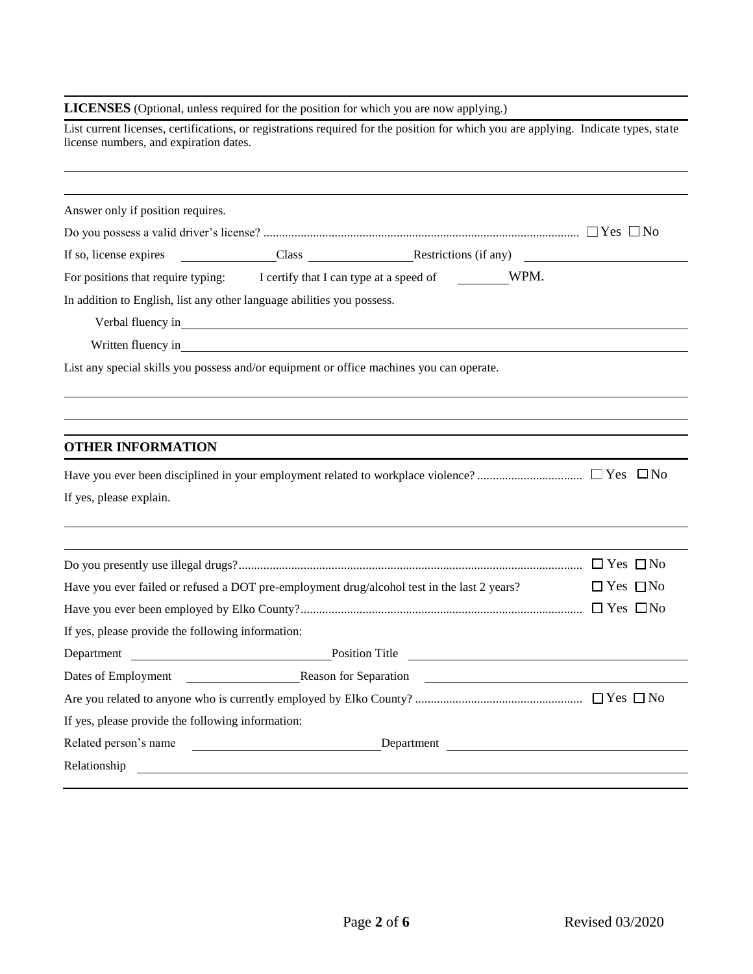#### **LICENSES** (Optional, unless required for the position for which you are now applying.)

| List current licenses, certifications, or registrations required for the position for which you are applying. Indicate types, state<br>license numbers, and expiration dates.                                                                           |                            |
|---------------------------------------------------------------------------------------------------------------------------------------------------------------------------------------------------------------------------------------------------------|----------------------------|
| Answer only if position requires.                                                                                                                                                                                                                       |                            |
|                                                                                                                                                                                                                                                         |                            |
| If so, license expires Class Class Restrictions (if any)                                                                                                                                                                                                |                            |
| For positions that require typing: I certify that I can type at a speed of WPM.                                                                                                                                                                         |                            |
| In addition to English, list any other language abilities you possess.                                                                                                                                                                                  |                            |
| Verbal fluency in experience and the contract of the contract of the contract of the contract of the contract of the contract of the contract of the contract of the contract of the contract of the contract of the contract                           |                            |
| Written fluency in Santa Communication and the contract of the contract of the contract of the contract of the contract of the contract of the contract of the contract of the contract of the contract of the contract of the                          |                            |
| List any special skills you possess and/or equipment or office machines you can operate.                                                                                                                                                                |                            |
|                                                                                                                                                                                                                                                         |                            |
| <b>OTHER INFORMATION</b>                                                                                                                                                                                                                                |                            |
|                                                                                                                                                                                                                                                         |                            |
| If yes, please explain.                                                                                                                                                                                                                                 |                            |
|                                                                                                                                                                                                                                                         |                            |
|                                                                                                                                                                                                                                                         |                            |
| Have you ever failed or refused a DOT pre-employment drug/alcohol test in the last 2 years?                                                                                                                                                             | $\Box$ Yes $\Box$ No       |
| If yes, please provide the following information:                                                                                                                                                                                                       |                            |
|                                                                                                                                                                                                                                                         |                            |
| Department Position Title                                                                                                                                                                                                                               |                            |
| Dates of Employment                                                                                                                                                                                                                                     | Reason for Separation 2008 |
|                                                                                                                                                                                                                                                         |                            |
| If yes, please provide the following information:                                                                                                                                                                                                       |                            |
| Related person's name<br>Relationship experience and the contract of the contract of the contract of the contract of the contract of the contract of the contract of the contract of the contract of the contract of the contract of the contract of th | Department                 |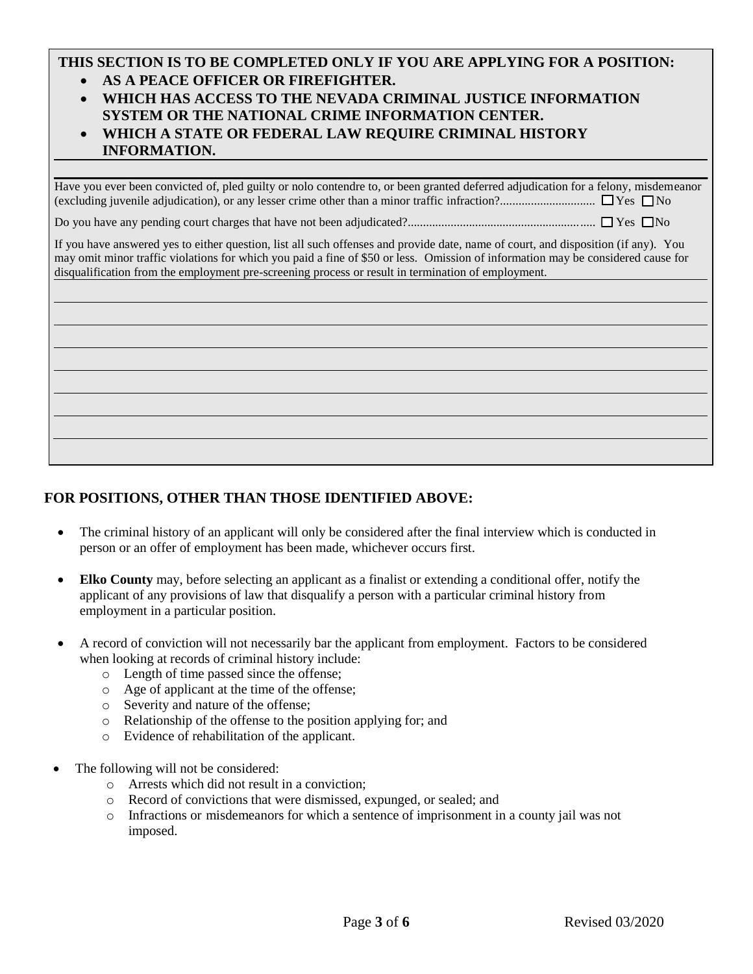# **THIS SECTION IS TO BE COMPLETED ONLY IF YOU ARE APPLYING FOR A POSITION:**

- **AS A PEACE OFFICER OR FIREFIGHTER.**
- **WHICH HAS ACCESS TO THE NEVADA CRIMINAL JUSTICE INFORMATION SYSTEM OR THE NATIONAL CRIME INFORMATION CENTER.**
- **WHICH A STATE OR FEDERAL LAW REQUIRE CRIMINAL HISTORY INFORMATION.**

Have you ever been convicted of, pled guilty or nolo contendre to, or been granted deferred adjudication for a felony, misdemeanor (excluding juvenile adjudication), or any lesser crime other than a minor traffic infraction?............................... Yes No

Do you have any pending court charges that have not been adjudicated?............................................................. Yes No

If you have answered yes to either question, list all such offenses and provide date, name of court, and disposition (if any). You may omit minor traffic violations for which you paid a fine of \$50 or less. Omission of information may be considered cause for disqualification from the employment pre-screening process or result in termination of employment.

### **FOR POSITIONS, OTHER THAN THOSE IDENTIFIED ABOVE:**

- The criminal history of an applicant will only be considered after the final interview which is conducted in person or an offer of employment has been made, whichever occurs first.
- **Elko County** may, before selecting an applicant as a finalist or extending a conditional offer, notify the applicant of any provisions of law that disqualify a person with a particular criminal history from employment in a particular position.
- A record of conviction will not necessarily bar the applicant from employment. Factors to be considered when looking at records of criminal history include:
	- o Length of time passed since the offense;
	- o Age of applicant at the time of the offense;
	- o Severity and nature of the offense;
	- o Relationship of the offense to the position applying for; and
	- o Evidence of rehabilitation of the applicant.
- The following will not be considered:
	- o Arrests which did not result in a conviction;
	- o Record of convictions that were dismissed, expunged, or sealed; and
	- o Infractions or misdemeanors for which a sentence of imprisonment in a county jail was not imposed.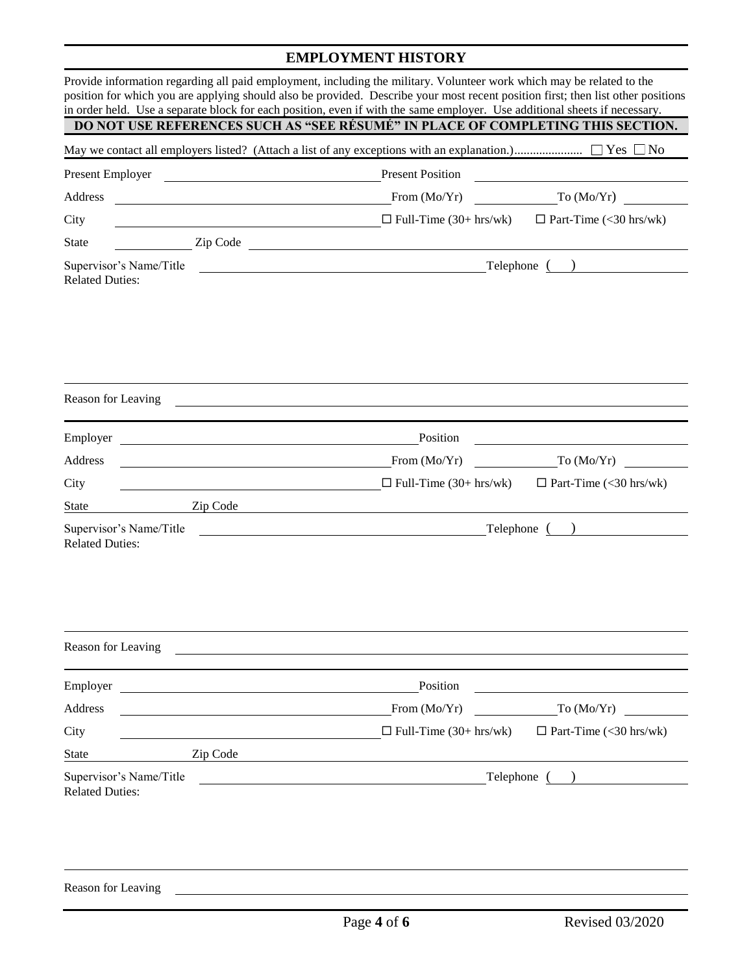# **EMPLOYMENT HISTORY**

|                                                   |                                                                                                                       | Provide information regarding all paid employment, including the military. Volunteer work which may be related to the<br>position for which you are applying should also be provided. Describe your most recent position first; then list other positions<br>in order held. Use a separate block for each position, even if with the same employer. Use additional sheets if necessary. |                               |  |
|---------------------------------------------------|-----------------------------------------------------------------------------------------------------------------------|-----------------------------------------------------------------------------------------------------------------------------------------------------------------------------------------------------------------------------------------------------------------------------------------------------------------------------------------------------------------------------------------|-------------------------------|--|
|                                                   |                                                                                                                       | DO NOT USE REFERENCES SUCH AS "SEE RÉSUMÉ" IN PLACE OF COMPLETING THIS SECTION.                                                                                                                                                                                                                                                                                                         |                               |  |
|                                                   |                                                                                                                       |                                                                                                                                                                                                                                                                                                                                                                                         |                               |  |
| Present Employer                                  |                                                                                                                       | <b>Present Position</b>                                                                                                                                                                                                                                                                                                                                                                 |                               |  |
| Address                                           | <u> 1989 - Johann Barn, mars eta inperiodo</u>                                                                        | To $(Mo/Yr)$<br>From $(Mo/Yr)$                                                                                                                                                                                                                                                                                                                                                          |                               |  |
| City                                              | <u> 1980 - Johann Barn, mars ann an t-Amhain Aonaich an t-Aonaich an t-Aonaich ann an t-Aonaich ann an t-Aonaich</u>  | $\Box$ Full-Time (30+ hrs/wk)                                                                                                                                                                                                                                                                                                                                                           | $\Box$ Part-Time (<30 hrs/wk) |  |
| <b>State</b>                                      |                                                                                                                       | Zip Code                                                                                                                                                                                                                                                                                                                                                                                |                               |  |
| Supervisor's Name/Title<br><b>Related Duties:</b> |                                                                                                                       |                                                                                                                                                                                                                                                                                                                                                                                         |                               |  |
| Reason for Leaving                                |                                                                                                                       |                                                                                                                                                                                                                                                                                                                                                                                         |                               |  |
|                                                   |                                                                                                                       |                                                                                                                                                                                                                                                                                                                                                                                         |                               |  |
| Employer                                          |                                                                                                                       | Position                                                                                                                                                                                                                                                                                                                                                                                |                               |  |
| Address                                           |                                                                                                                       | From (Mo/Yr)                                                                                                                                                                                                                                                                                                                                                                            | To $(Mo/Yr)$                  |  |
| City                                              | <u> 1989 - Johann Harry Harry Harry Harry Harry Harry Harry Harry Harry Harry Harry Harry Harry Harry Harry Harry</u> | $\Box$ Full-Time (30+ hrs/wk)                                                                                                                                                                                                                                                                                                                                                           | $\Box$ Part-Time (<30 hrs/wk) |  |
| State                                             | Zip Code                                                                                                              |                                                                                                                                                                                                                                                                                                                                                                                         |                               |  |
| Supervisor's Name/Title<br><b>Related Duties:</b> |                                                                                                                       | <u> 1989 - Johann Stoff, fransk politik (d. 1989)</u>                                                                                                                                                                                                                                                                                                                                   | Telephone ()                  |  |
| Reason for Leaving                                |                                                                                                                       |                                                                                                                                                                                                                                                                                                                                                                                         |                               |  |
| Employer                                          | <u> 1980 - Johann Barbara, martxa alemaniar arg</u>                                                                   | Position                                                                                                                                                                                                                                                                                                                                                                                |                               |  |
| Address                                           |                                                                                                                       | From (Mo/Yr)                                                                                                                                                                                                                                                                                                                                                                            | To (Mo/Yr)                    |  |
| City                                              |                                                                                                                       | $\Box$ Full-Time (30+ hrs/wk)                                                                                                                                                                                                                                                                                                                                                           | $\Box$ Part-Time (<30 hrs/wk) |  |
| <b>State</b>                                      | Zip Code                                                                                                              |                                                                                                                                                                                                                                                                                                                                                                                         |                               |  |
| Supervisor's Name/Title<br><b>Related Duties:</b> | <u> 1980 - Jan Stein Stein Stein Stein Stein Stein Stein Stein Stein Stein Stein Stein Stein Stein Stein Stein S</u>  |                                                                                                                                                                                                                                                                                                                                                                                         | Telephone ()                  |  |
|                                                   |                                                                                                                       |                                                                                                                                                                                                                                                                                                                                                                                         |                               |  |

Reason for Leaving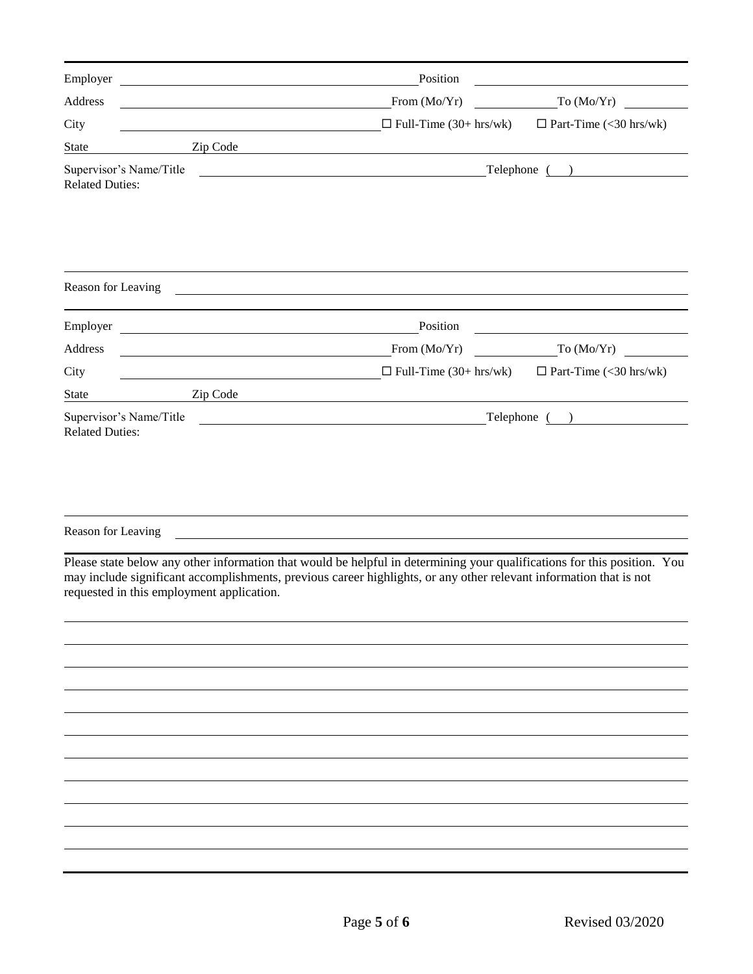| Employer                                          | <u> 1980 - Johann Barn, mars eta bainar eta bat erroman erroman erroman erroman erroman erroman erroman erroman e</u>                                                                                                                                                                       | Position                      |                               |
|---------------------------------------------------|---------------------------------------------------------------------------------------------------------------------------------------------------------------------------------------------------------------------------------------------------------------------------------------------|-------------------------------|-------------------------------|
| Address                                           |                                                                                                                                                                                                                                                                                             | From (Mo/Yr)                  | To (Mo/Yr)                    |
| City                                              |                                                                                                                                                                                                                                                                                             | $\Box$ Full-Time (30+ hrs/wk) | $\Box$ Part-Time (<30 hrs/wk) |
| <b>State</b>                                      | Zip Code                                                                                                                                                                                                                                                                                    |                               |                               |
| Supervisor's Name/Title<br><b>Related Duties:</b> | <u> 1989 - Andrea Stadt Britain, amerikansk politiker (</u>                                                                                                                                                                                                                                 |                               | Telephone ( )                 |
| Reason for Leaving                                |                                                                                                                                                                                                                                                                                             |                               |                               |
| Employer                                          | <u> 1989 - Johann Stoff, deutscher Stoffen und der Stoffen und der Stoffen und der Stoffen und der Stoffen und der</u>                                                                                                                                                                      | Position                      |                               |
| Address                                           | <u> 1989 - Johann Barnett, fransk politiker (</u>                                                                                                                                                                                                                                           | From (Mo/Yr)                  | To (Mo/Yr)                    |
| City                                              |                                                                                                                                                                                                                                                                                             | $\Box$ Full-Time (30+ hrs/wk) | $\Box$ Part-Time (<30 hrs/wk) |
| <b>State</b>                                      | Zip Code <u>and a series of the series of the series of the series of the series of the series of the series of the series of the series of the series of the series of the series of the series of the series of the series of </u>                                                        |                               |                               |
| Supervisor's Name/Title<br><b>Related Duties:</b> | <u>and the contract of the contract of the contract of the contract of the contract of the contract of the contract of the contract of the contract of the contract of the contract of the contract of the contract of the contr</u>                                                        |                               | Telephone ( )                 |
| Reason for Leaving                                |                                                                                                                                                                                                                                                                                             |                               |                               |
|                                                   | Please state below any other information that would be helpful in determining your qualifications for this position. You<br>may include significant accomplishments, previous career highlights, or any other relevant information that is not<br>requested in this employment application. |                               |                               |
|                                                   |                                                                                                                                                                                                                                                                                             |                               |                               |
|                                                   |                                                                                                                                                                                                                                                                                             |                               |                               |
|                                                   |                                                                                                                                                                                                                                                                                             |                               |                               |
|                                                   |                                                                                                                                                                                                                                                                                             |                               |                               |
|                                                   |                                                                                                                                                                                                                                                                                             |                               |                               |
|                                                   |                                                                                                                                                                                                                                                                                             |                               |                               |